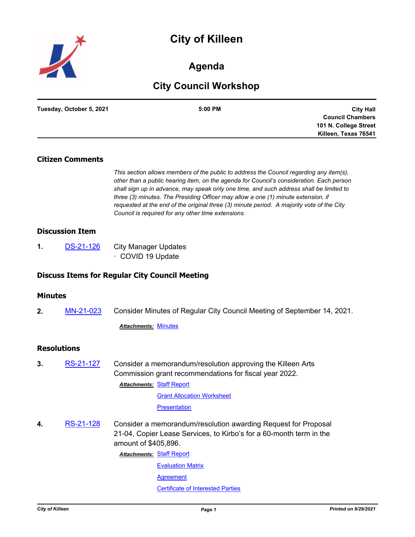# **City of Killeen**



## **Agenda**

## **City Council Workshop**

| Tuesday, October 5, 2021 | 5:00 PM | <b>City Hall</b>        |
|--------------------------|---------|-------------------------|
|                          |         | <b>Council Chambers</b> |
|                          |         | 101 N. College Street   |
|                          |         | Killeen, Texas 76541    |

## **Citizen Comments**

*This section allows members of the public to address the Council regarding any item(s), other than a public hearing item, on the agenda for Council's consideration. Each person shall sign up in advance, may speak only one time, and such address shall be limited to three (3) minutes. The Presiding Officer may allow a one (1) minute extension, if requested at the end of the original three (3) minute period. A majority vote of the City Council is required for any other time extensions.*

### **Discussion Item**

**1.** [DS-21-126](http://killeen.legistar.com/gateway.aspx?m=l&id=/matter.aspx?key=5718) City Manager Updates · COVID 19 Update

### **Discuss Items for Regular City Council Meeting**

### **Minutes**

**2.** [MN-21-023](http://killeen.legistar.com/gateway.aspx?m=l&id=/matter.aspx?key=5698) Consider Minutes of Regular City Council Meeting of September 14, 2021.

*Attachments:* [Minutes](http://killeen.legistar.com/gateway.aspx?M=F&ID=1453a22f-18e7-489a-be07-8255c37444e9.pdf)

## **Resolutions**

**3.** [RS-21-127](http://killeen.legistar.com/gateway.aspx?m=l&id=/matter.aspx?key=5704) Consider a memorandum/resolution approving the Killeen Arts Commission grant recommendations for fiscal year 2022. **Attachments: [Staff Report](http://killeen.legistar.com/gateway.aspx?M=F&ID=9ffa2df1-7ae8-4a13-a920-8093fc02c99c.pdf)** 

[Grant Allocation Worksheet](http://killeen.legistar.com/gateway.aspx?M=F&ID=1d4e4fdf-0be2-45e5-913a-1d3aa17e475a.pdf)

#### **[Presentation](http://killeen.legistar.com/gateway.aspx?M=F&ID=d87bd4f2-0744-4920-9a75-e9a90a7b5ebf.pdf)**

**4.** [RS-21-128](http://killeen.legistar.com/gateway.aspx?m=l&id=/matter.aspx?key=5714) Consider a memorandum/resolution awarding Request for Proposal 21-04, Copier Lease Services, to Kirbo's for a 60-month term in the amount of \$405,896.

**Attachments: [Staff Report](http://killeen.legistar.com/gateway.aspx?M=F&ID=b1f4bfb2-3cea-423e-9303-6642aed04735.pdf)** 

[Evaluation Matrix](http://killeen.legistar.com/gateway.aspx?M=F&ID=453e0072-d289-4f2b-8b37-8472061baa34.pdf) **[Agreement](http://killeen.legistar.com/gateway.aspx?M=F&ID=ab6e3db2-9f0b-47ab-b1b3-d712f3adaa36.pdf)** [Certificate of Interested Parties](http://killeen.legistar.com/gateway.aspx?M=F&ID=f047f342-5a6c-4f80-8d99-291a49c37cd7.pdf)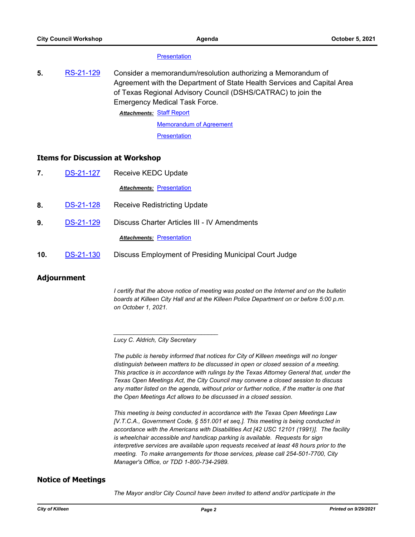#### **[Presentation](http://killeen.legistar.com/gateway.aspx?M=F&ID=d3e0986e-3cf3-4914-93aa-bd64c5aa2eee.pdf)**

**5.** [RS-21-129](http://killeen.legistar.com/gateway.aspx?m=l&id=/matter.aspx?key=5715) Consider a memorandum/resolution authorizing a Memorandum of Agreement with the Department of State Health Services and Capital Area of Texas Regional Advisory Council (DSHS/CATRAC) to join the Emergency Medical Task Force.

**Attachments: [Staff Report](http://killeen.legistar.com/gateway.aspx?M=F&ID=7a8b4469-f01e-4dca-a953-2050f243e165.pdf)** 

[Memorandum of Agreement](http://killeen.legistar.com/gateway.aspx?M=F&ID=3f14594a-c69b-442a-a320-818df915f558.pdf) **[Presentation](http://killeen.legistar.com/gateway.aspx?M=F&ID=1cbce8f7-41d6-4db7-a573-e3c5592c797f.pdf)** 

#### **Items for Discussion at Workshop**

| $\mathbf{7}$ | <b>DS-21-127</b> | Receive KEDC Update                          |  |
|--------------|------------------|----------------------------------------------|--|
|              |                  | <b>Attachments: Presentation</b>             |  |
| 8.           | <b>DS-21-128</b> | <b>Receive Redistricting Update</b>          |  |
| 9.           | <b>DS-21-129</b> | Discuss Charter Articles III - IV Amendments |  |
|              |                  | <b>Attachments: Presentation</b>             |  |
|              |                  |                                              |  |

**10.** [DS-21-130](http://killeen.legistar.com/gateway.aspx?m=l&id=/matter.aspx?key=5732) Discuss Employment of Presiding Municipal Court Judge

### **Adjournment**

*I certify that the above notice of meeting was posted on the Internet and on the bulletin boards at Killeen City Hall and at the Killeen Police Department on or before 5:00 p.m. on October 1, 2021.*

*Lucy C. Aldrich, City Secretary* 

*\_\_\_\_\_\_\_\_\_\_\_\_\_\_\_\_\_\_\_\_\_\_\_\_\_\_\_\_\_\_\_*

*The public is hereby informed that notices for City of Killeen meetings will no longer distinguish between matters to be discussed in open or closed session of a meeting. This practice is in accordance with rulings by the Texas Attorney General that, under the Texas Open Meetings Act, the City Council may convene a closed session to discuss any matter listed on the agenda, without prior or further notice, if the matter is one that the Open Meetings Act allows to be discussed in a closed session.*

*This meeting is being conducted in accordance with the Texas Open Meetings Law [V.T.C.A., Government Code, § 551.001 et seq.]. This meeting is being conducted in accordance with the Americans with Disabilities Act [42 USC 12101 (1991)]. The facility is wheelchair accessible and handicap parking is available. Requests for sign interpretive services are available upon requests received at least 48 hours prior to the meeting. To make arrangements for those services, please call 254-501-7700, City Manager's Office, or TDD 1-800-734-2989.*

### **Notice of Meetings**

*The Mayor and/or City Council have been invited to attend and/or participate in the*